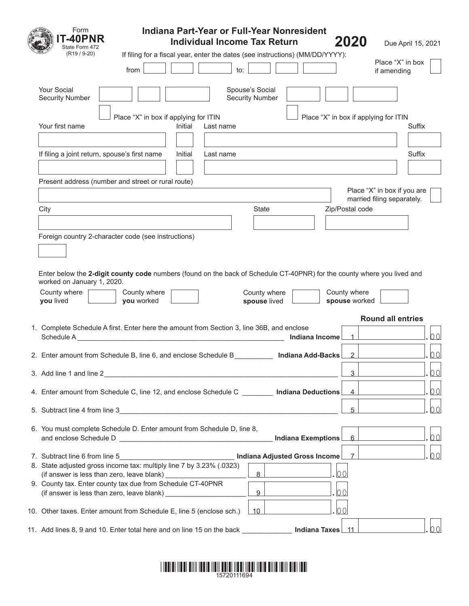| Form<br>Indiana Part-Year or Full-Year Nonresident<br><b>-40PNR</b><br>2020<br><b>Individual Income Tax Return</b><br>Due April 15, 2021                  |    |
|-----------------------------------------------------------------------------------------------------------------------------------------------------------|----|
| State Form 472<br>$(R19 / 9-20)$<br>If filing for a fiscal year, enter the dates (see instructions) (MM/DD/YYYY):                                         |    |
| Place "X" in box<br>to:<br>from<br>if amending                                                                                                            |    |
| <b>Your Social</b><br>Spouse's Social<br><b>Security Number</b><br><b>Security Number</b>                                                                 |    |
| Place "X" in box if applying for ITIN<br>Place "X" in box if applying for ITIN<br>Your first name<br>Initial<br>Last name<br>Suffix                       |    |
| If filing a joint return, spouse's first name<br>Suffix<br>Initial<br>Last name                                                                           |    |
| Present address (number and street or rural route)                                                                                                        |    |
| Place "X" in box if you are<br>married filing separately.<br><b>State</b><br>Zip/Postal code<br>City                                                      |    |
|                                                                                                                                                           |    |
| Foreign country 2-character code (see instructions)                                                                                                       |    |
| Enter below the 2-digit county code numbers (found on the back of Schedule CT-40PNR) for the county where you lived and<br>worked on January 1, 2020.     |    |
| County where<br>County where<br>County where<br>County where<br>you lived<br>you worked<br>spouse lived<br>spouse worked                                  |    |
| <b>Round all entries</b>                                                                                                                                  |    |
| 1. Complete Schedule A first. Enter here the amount from Section 3, line 36B, and enclose<br>Indiana Income<br>$\overline{1}$                             | 00 |
| $\overline{2}$<br>2. Enter amount from Schedule B, line 6, and enclose Schedule B<br>Indiana Add-Backs                                                    | 00 |
| 3<br>3. Add line 1 and line 2<br><u> 1989 - Johann John Stein, mars an deus Amerikaansk kommunister (</u>                                                 | 00 |
| $\overline{4}$<br>4. Enter amount from Schedule C, line 12, and enclose Schedule C _________ Indiana Deductions                                           | 00 |
| 5<br>5. Subtract line 4 from line 3                                                                                                                       | 00 |
| 6. You must complete Schedule D. Enter amount from Schedule D, line 8,<br>Indiana Exemptions<br>$6^{\circ}$                                               | 00 |
| Indiana Adjusted Gross Income<br>$\overline{7}$<br>7. Subtract line 6 from line 5<br>8. State adjusted gross income tax: multiply line 7 by 3.23% (.0323) | 00 |
| 8<br>00<br>(if answer is less than zero, leave blank)                                                                                                     |    |
| 9. County tax. Enter county tax due from Schedule CT-40PNR<br>9<br>00<br>(if answer is less than zero, leave blank) ____________                          |    |
| l0 0<br>10. Other taxes. Enter amount from Schedule E, line 5 (enclose sch.)<br>10                                                                        |    |
| 11. Add lines 8, 9 and 10. Enter total here and on line 15 on the back<br>Indiana Taxes 11                                                                | 00 |

## \*15720111694 \*1111 1371 1381 5381 1392 1393 1394 5395 1396 1397 1398